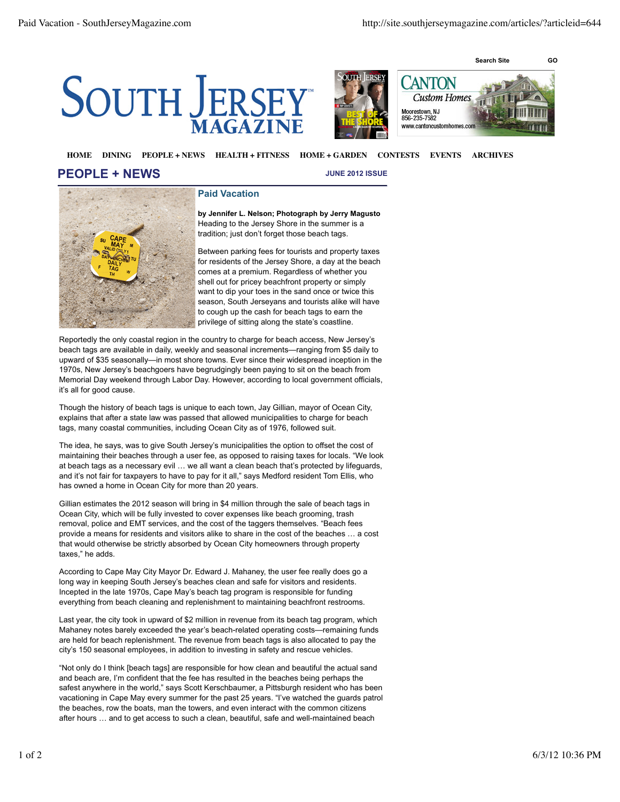





## **HOME DINING PEOPLE + NEWS HEALTH + FITNESS HOME + GARDEN CONTESTS EVENTS ARCHIVES**

## **PEOPLE + NEWS**

**JUNE 2012 ISSUE**



## **Paid Vacation**

**by Jennifer L. Nelson; Photograph by Jerry Magusto** Heading to the Jersey Shore in the summer is a tradition; just don't forget those beach tags.

Between parking fees for tourists and property taxes for residents of the Jersey Shore, a day at the beach comes at a premium. Regardless of whether you shell out for pricey beachfront property or simply want to dip your toes in the sand once or twice this season, South Jerseyans and tourists alike will have to cough up the cash for beach tags to earn the privilege of sitting along the state's coastline.

Reportedly the only coastal region in the country to charge for beach access, New Jersey's beach tags are available in daily, weekly and seasonal increments—ranging from \$5 daily to upward of \$35 seasonally—in most shore towns. Ever since their widespread inception in the 1970s, New Jersey's beachgoers have begrudgingly been paying to sit on the beach from Memorial Day weekend through Labor Day. However, according to local government officials, it's all for good cause.

Though the history of beach tags is unique to each town, Jay Gillian, mayor of Ocean City, explains that after a state law was passed that allowed municipalities to charge for beach tags, many coastal communities, including Ocean City as of 1976, followed suit.

The idea, he says, was to give South Jersey's municipalities the option to offset the cost of maintaining their beaches through a user fee, as opposed to raising taxes for locals. "We look at beach tags as a necessary evil … we all want a clean beach that's protected by lifeguards, and it's not fair for taxpayers to have to pay for it all," says Medford resident Tom Ellis, who has owned a home in Ocean City for more than 20 years.

Gillian estimates the 2012 season will bring in \$4 million through the sale of beach tags in Ocean City, which will be fully invested to cover expenses like beach grooming, trash removal, police and EMT services, and the cost of the taggers themselves. "Beach fees provide a means for residents and visitors alike to share in the cost of the beaches … a cost that would otherwise be strictly absorbed by Ocean City homeowners through property taxes," he adds.

According to Cape May City Mayor Dr. Edward J. Mahaney, the user fee really does go a long way in keeping South Jersey's beaches clean and safe for visitors and residents. Incepted in the late 1970s, Cape May's beach tag program is responsible for funding everything from beach cleaning and replenishment to maintaining beachfront restrooms.

Last year, the city took in upward of \$2 million in revenue from its beach tag program, which Mahaney notes barely exceeded the year's beach-related operating costs—remaining funds are held for beach replenishment. The revenue from beach tags is also allocated to pay the city's 150 seasonal employees, in addition to investing in safety and rescue vehicles.

"Not only do I think [beach tags] are responsible for how clean and beautiful the actual sand and beach are, I'm confident that the fee has resulted in the beaches being perhaps the safest anywhere in the world," says Scott Kerschbaumer, a Pittsburgh resident who has been vacationing in Cape May every summer for the past 25 years. "I've watched the guards patrol the beaches, row the boats, man the towers, and even interact with the common citizens after hours … and to get access to such a clean, beautiful, safe and well-maintained beach